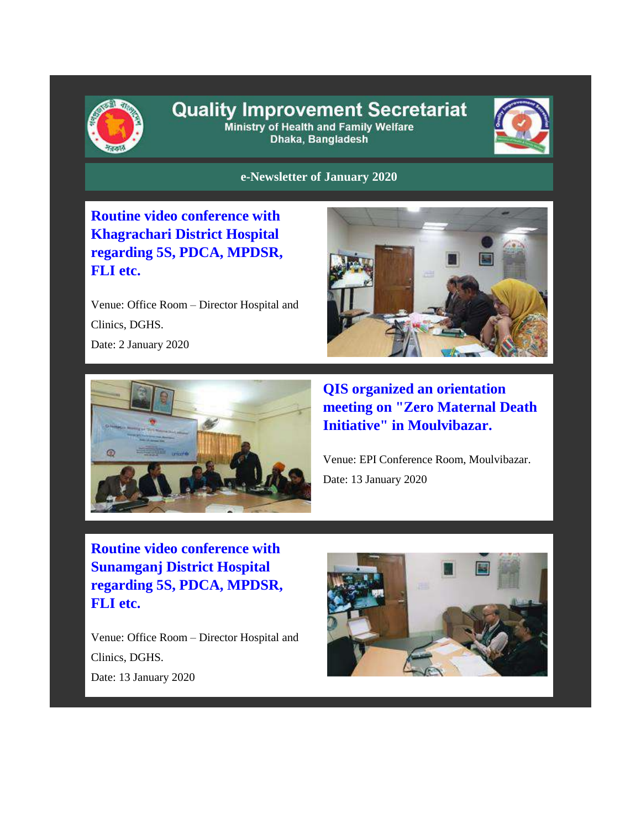

## **Quality Improvement Secretariat**

Ministry of Health and Family Welfare Dhaka, Bangladesh



## **e-Newsletter of January 2020**

**Routine video conference with Khagrachari District Hospital regarding 5S, PDCA, MPDSR, FLI etc.**

Venue: Office Room – Director Hospital and Clinics, DGHS. Date: 2 January 2020





**QIS organized an orientation meeting on "Zero Maternal Death Initiative" in Moulvibazar.** 

Venue: EPI Conference Room, Moulvibazar. Date: 13 January 2020

**Routine video conference with Sunamganj District Hospital regarding 5S, PDCA, MPDSR, FLI etc.**

Venue: Office Room – Director Hospital and Clinics, DGHS. Date: 13 January 2020

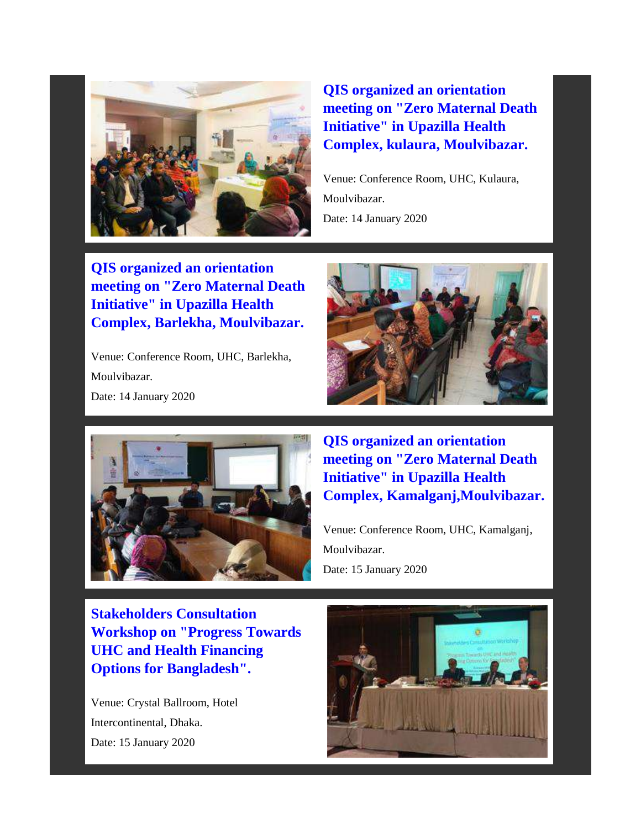

**QIS organized an orientation meeting on "Zero Maternal Death Initiative" in Upazilla Health Complex, kulaura, Moulvibazar.**

Venue: Conference Room, UHC, Kulaura, Moulvibazar. Date: 14 January 2020

**QIS organized an orientation meeting on "Zero Maternal Death Initiative" in Upazilla Health Complex, Barlekha, Moulvibazar.**

Venue: Conference Room, UHC, Barlekha, Moulvibazar. Date: 14 January 2020





**QIS organized an orientation meeting on "Zero Maternal Death Initiative" in Upazilla Health Complex, Kamalganj,Moulvibazar.**

Venue: Conference Room, UHC, Kamalganj, Moulvibazar. Date: 15 January 2020

**Stakeholders Consultation Workshop on "Progress Towards UHC and Health Financing Options for Bangladesh".**

Venue: Crystal Ballroom, Hotel Intercontinental, Dhaka. Date: 15 January 2020

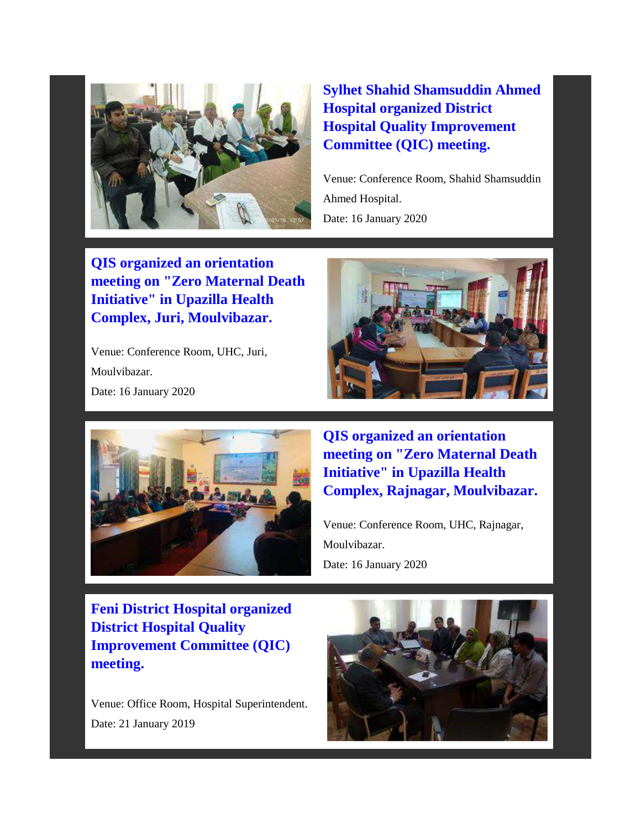

**Sylhet Shahid Shamsuddin Ahmed Hospital organized District Hospital Quality Improvement Committee (QIC) meeting.** 

Venue: Conference Room, Shahid Shamsuddin Ahmed Hospital. Date: 16 January 2020

**QIS organized an orientation meeting on "Zero Maternal Death Initiative" in Upazilla Health Complex, Juri, Moulvibazar.**

Venue: Conference Room, UHC, Juri, Moulvibazar. Date: 16 January 2020





**QIS organized an orientation meeting on "Zero Maternal Death Initiative" in Upazilla Health Complex, Rajnagar, Moulvibazar.**

Venue: Conference Room, UHC, Rajnagar, Moulvibazar. Date: 16 January 2020

**Feni District Hospital organized District Hospital Quality Improvement Committee (QIC) meeting.**

Venue: Office Room, Hospital Superintendent. Date: 21 January 2019

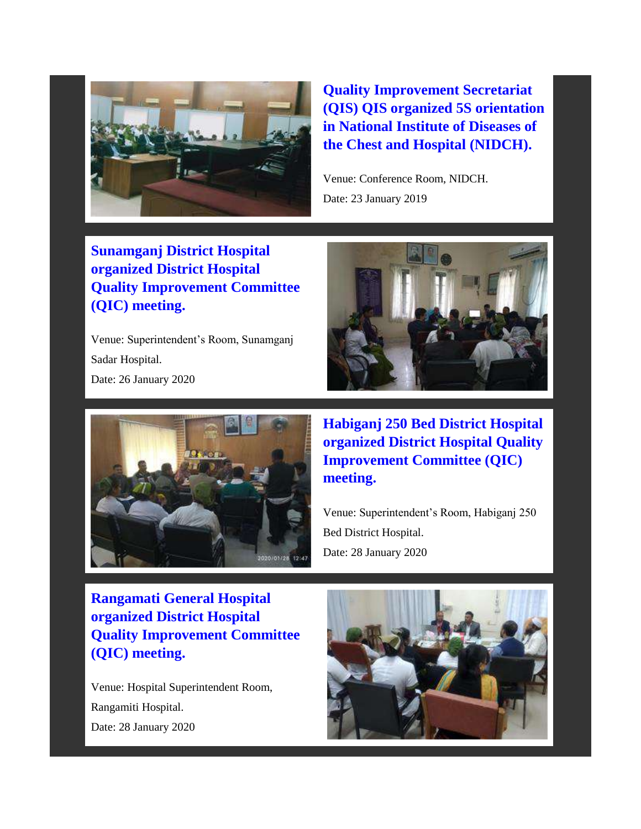

**Quality Improvement Secretariat (QIS) QIS organized 5S orientation in National Institute of Diseases of the Chest and Hospital (NIDCH).**

Venue: Conference Room, NIDCH. Date: 23 January 2019

**Sunamganj District Hospital organized District Hospital Quality Improvement Committee (QIC) meeting.**

Venue: Superintendent's Room, Sunamganj Sadar Hospital. Date: 26 January 2020





**Habiganj 250 Bed District Hospital organized District Hospital Quality Improvement Committee (QIC) meeting.** 

Venue: Superintendent's Room, Habiganj 250 Bed District Hospital. Date: 28 January 2020

**Rangamati General Hospital organized District Hospital Quality Improvement Committee (QIC) meeting.**

Venue: Hospital Superintendent Room, Rangamiti Hospital. Date: 28 January 2020

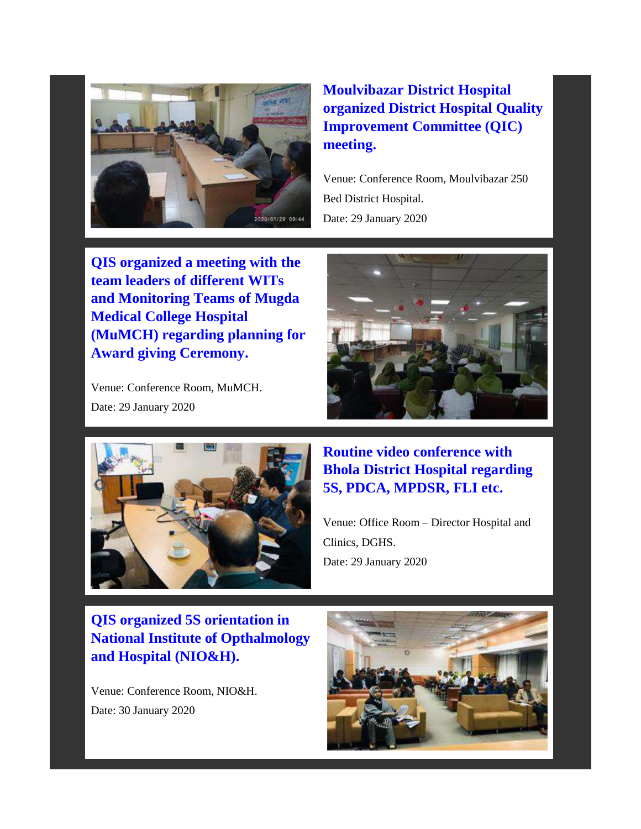

## **Moulvibazar District Hospital organized District Hospital Quality Improvement Committee (QIC) meeting.**

Venue: Conference Room, Moulvibazar 250 Bed District Hospital. Date: 29 January 2020

**QIS organized a meeting with the team leaders of different WITs and Monitoring Teams of Mugda Medical College Hospital (MuMCH) regarding planning for Award giving Ceremony.**

Venue: Conference Room, MuMCH. Date: 29 January 2020





**Routine video conference with Bhola District Hospital regarding 5S, PDCA, MPDSR, FLI etc.** 

Venue: Office Room – Director Hospital and Clinics, DGHS. Date: 29 January 2020

**QIS organized 5S orientation in National Institute of Opthalmology and Hospital (NIO&H).**

Venue: Conference Room, NIO&H. Date: 30 January 2020